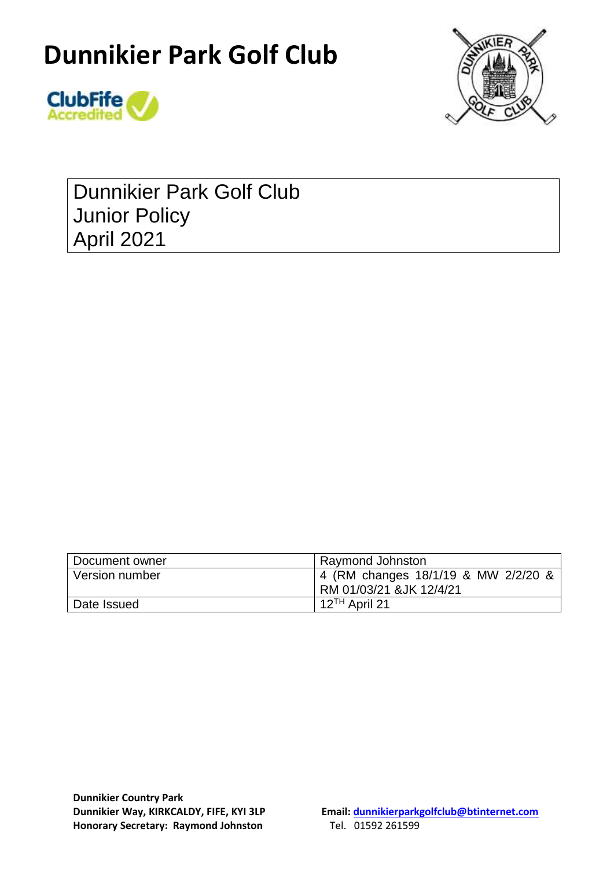



Dunnikier Park Golf Club Junior Policy April 2021

| Document owner   | Raymond Johnston                    |
|------------------|-------------------------------------|
| l Version number | 4 (RM changes 18/1/19 & MW 2/2/20 & |
|                  | RM 01/03/21 &JK 12/4/21             |
| Date Issued      | 12 <sup>™</sup> April 21            |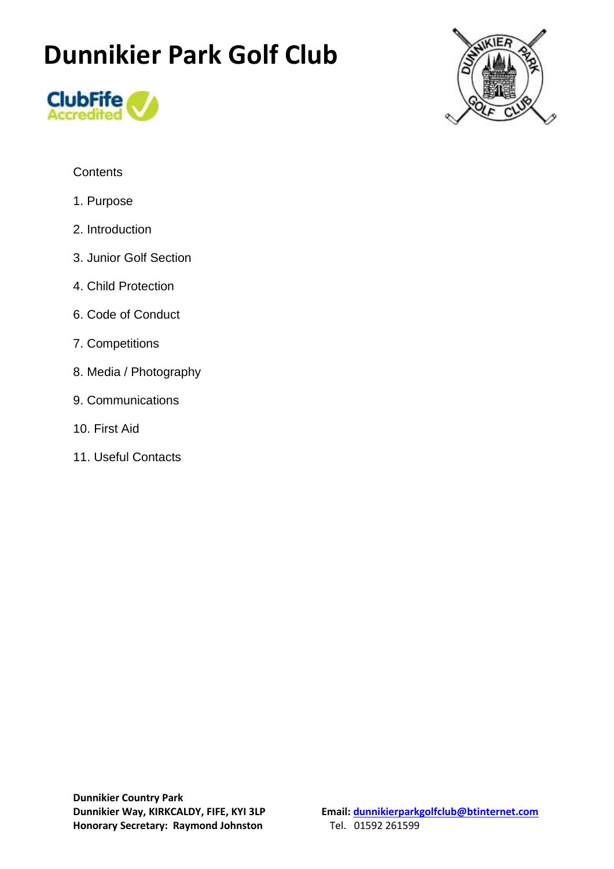



## **Contents**

- 1. Purpose
- 2. Introduction
- 3. Junior Golf Section
- 4. Child Protection
- 6. Code of Conduct
- 7. Competitions
- 8. Media / Photography
- 9. Communications
- 10. First Aid
- 11. Useful Contacts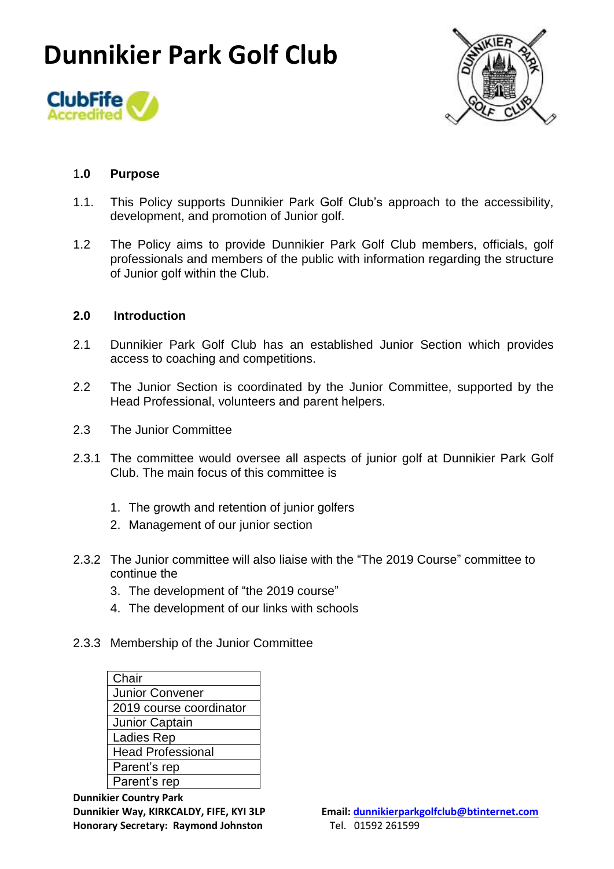



### 1**.0 Purpose**

- 1.1. This Policy supports Dunnikier Park Golf Club's approach to the accessibility, development, and promotion of Junior golf.
- 1.2 The Policy aims to provide Dunnikier Park Golf Club members, officials, golf professionals and members of the public with information regarding the structure of Junior golf within the Club.

#### **2.0 Introduction**

- 2.1 Dunnikier Park Golf Club has an established Junior Section which provides access to coaching and competitions.
- 2.2 The Junior Section is coordinated by the Junior Committee, supported by the Head Professional, volunteers and parent helpers.
- 2.3 The Junior Committee
- 2.3.1 The committee would oversee all aspects of junior golf at Dunnikier Park Golf Club. The main focus of this committee is
	- 1. The growth and retention of junior golfers
	- 2. Management of our junior section
- 2.3.2 The Junior committee will also liaise with the "The 2019 Course" committee to continue the
	- 3. The development of "the 2019 course"
	- 4. The development of our links with schools
- 2.3.3 Membership of the Junior Committee

| Chair                    |  |
|--------------------------|--|
| <b>Junior Convener</b>   |  |
| 2019 course coordinator  |  |
| Junior Captain           |  |
| <b>Ladies Rep</b>        |  |
| <b>Head Professional</b> |  |
| Parent's rep             |  |
| Parent's rep             |  |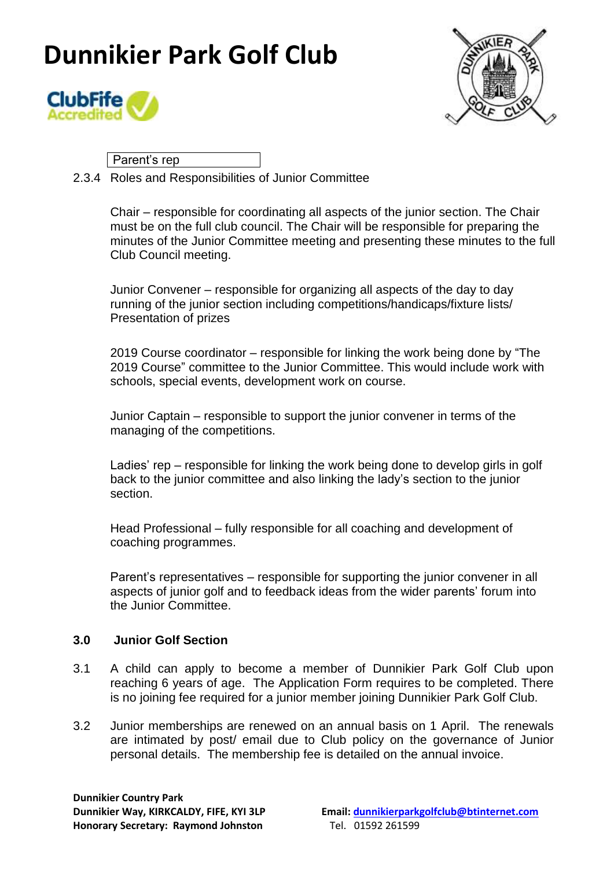



Parent's rep

### 2.3.4 Roles and Responsibilities of Junior Committee

Chair – responsible for coordinating all aspects of the junior section. The Chair must be on the full club council. The Chair will be responsible for preparing the minutes of the Junior Committee meeting and presenting these minutes to the full Club Council meeting.

Junior Convener – responsible for organizing all aspects of the day to day running of the junior section including competitions/handicaps/fixture lists/ Presentation of prizes

2019 Course coordinator – responsible for linking the work being done by "The 2019 Course" committee to the Junior Committee. This would include work with schools, special events, development work on course.

Junior Captain – responsible to support the junior convener in terms of the managing of the competitions.

Ladies' rep – responsible for linking the work being done to develop girls in golf back to the junior committee and also linking the lady's section to the junior section.

Head Professional – fully responsible for all coaching and development of coaching programmes.

Parent's representatives – responsible for supporting the junior convener in all aspects of junior golf and to feedback ideas from the wider parents' forum into the Junior Committee.

#### **3.0 Junior Golf Section**

- 3.1 A child can apply to become a member of Dunnikier Park Golf Club upon reaching 6 years of age. The Application Form requires to be completed. There is no joining fee required for a junior member joining Dunnikier Park Golf Club.
- 3.2 Junior memberships are renewed on an annual basis on 1 April. The renewals are intimated by post/ email due to Club policy on the governance of Junior personal details. The membership fee is detailed on the annual invoice.

**Dunnikier Country Park Honorary Secretary: Raymond Johnston** Tel. 01592 261599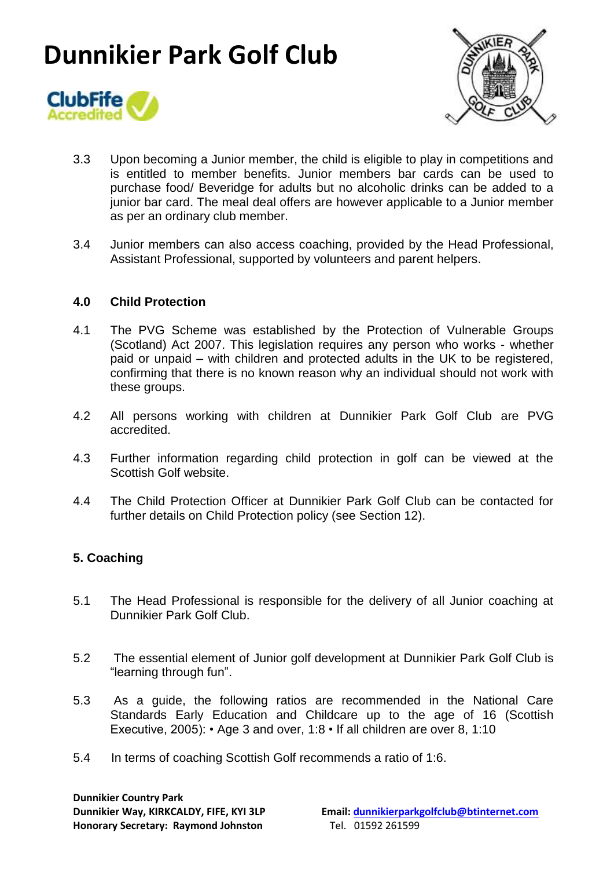



- 3.3 Upon becoming a Junior member, the child is eligible to play in competitions and is entitled to member benefits. Junior members bar cards can be used to purchase food/ Beveridge for adults but no alcoholic drinks can be added to a junior bar card. The meal deal offers are however applicable to a Junior member as per an ordinary club member.
- 3.4 Junior members can also access coaching, provided by the Head Professional, Assistant Professional, supported by volunteers and parent helpers.

### **4.0 Child Protection**

- 4.1 The PVG Scheme was established by the Protection of Vulnerable Groups (Scotland) Act 2007. This legislation requires any person who works - whether paid or unpaid – with children and protected adults in the UK to be registered, confirming that there is no known reason why an individual should not work with these groups.
- 4.2 All persons working with children at Dunnikier Park Golf Club are PVG accredited.
- 4.3 Further information regarding child protection in golf can be viewed at the Scottish Golf website.
- 4.4 The Child Protection Officer at Dunnikier Park Golf Club can be contacted for further details on Child Protection policy (see Section 12).

### **5. Coaching**

- 5.1 The Head Professional is responsible for the delivery of all Junior coaching at Dunnikier Park Golf Club.
- 5.2 The essential element of Junior golf development at Dunnikier Park Golf Club is "learning through fun".
- 5.3 As a guide, the following ratios are recommended in the National Care Standards Early Education and Childcare up to the age of 16 (Scottish Executive, 2005): • Age 3 and over, 1:8 • If all children are over 8, 1:10
- 5.4 In terms of coaching Scottish Golf recommends a ratio of 1:6.

**Dunnikier Country Park Honorary Secretary: Raymond Johnston** Tel. 01592 261599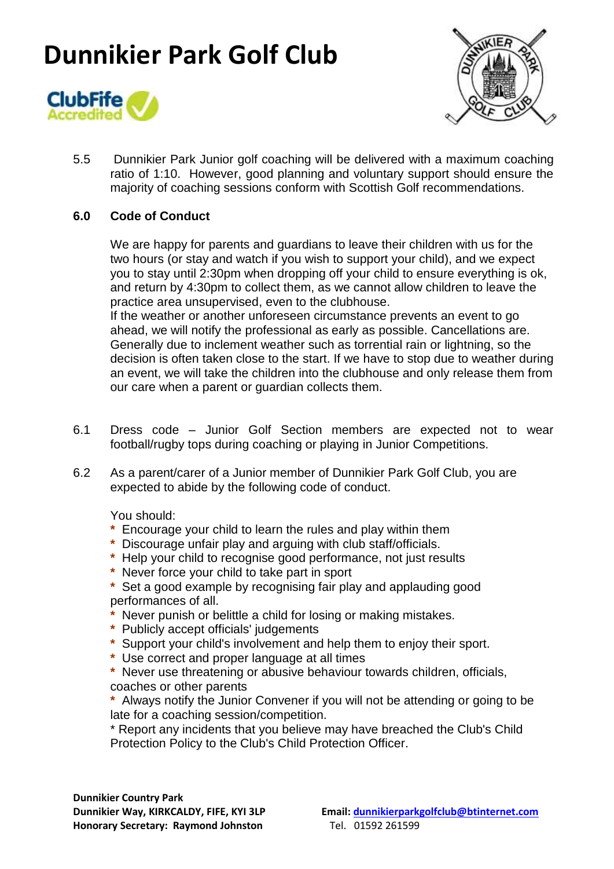



5.5 Dunnikier Park Junior golf coaching will be delivered with a maximum coaching ratio of 1:10. However, good planning and voluntary support should ensure the majority of coaching sessions conform with Scottish Golf recommendations.

## **6.0 Code of Conduct**

We are happy for parents and guardians to leave their children with us for the two hours (or stay and watch if you wish to support your child), and we expect you to stay until 2:30pm when dropping off your child to ensure everything is ok, and return by 4:30pm to collect them, as we cannot allow children to leave the practice area unsupervised, even to the clubhouse. If the weather or another unforeseen circumstance prevents an event to go ahead, we will notify the professional as early as possible. Cancellations are.

Generally due to inclement weather such as torrential rain or lightning, so the decision is often taken close to the start. If we have to stop due to weather during an event, we will take the children into the clubhouse and only release them from our care when a parent or guardian collects them.

- 6.1 Dress code Junior Golf Section members are expected not to wear football/rugby tops during coaching or playing in Junior Competitions.
- 6.2 As a parent/carer of a Junior member of Dunnikier Park Golf Club, you are expected to abide by the following code of conduct.

You should:

- **\*** Encourage your child to learn the rules and play within them
- **\*** Discourage unfair play and arguing with club staff/officials.
- **\*** Help your child to recognise good performance, not just results
- **\*** Never force your child to take part in sport
- **\*** Set a good example by recognising fair play and applauding good performances of all.
- **\*** Never punish or belittle a child for losing or making mistakes.
- **\*** Publicly accept officials' judgements
- **\*** Support your child's involvement and help them to enjoy their sport.
- **\*** Use correct and proper language at all times
- **\*** Never use threatening or abusive behaviour towards children, officials, coaches or other parents
- **\*** Always notify the Junior Convener if you will not be attending or going to be late for a coaching session/competition.

\* Report any incidents that you believe may have breached the Club's Child Protection Policy to the Club's Child Protection Officer.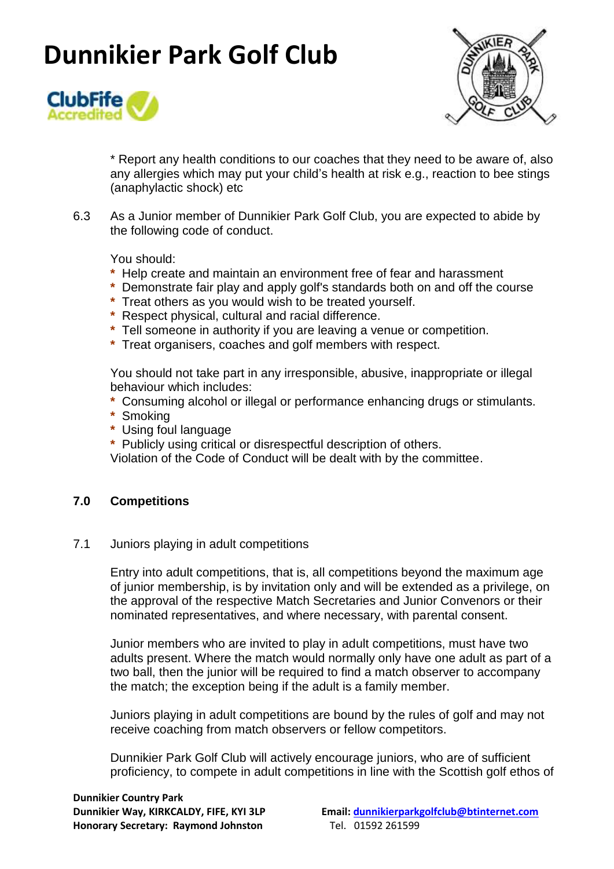



\* Report any health conditions to our coaches that they need to be aware of, also any allergies which may put your child's health at risk e.g., reaction to bee stings (anaphylactic shock) etc

6.3 As a Junior member of Dunnikier Park Golf Club, you are expected to abide by the following code of conduct.

You should:

- **\*** Help create and maintain an environment free of fear and harassment
- **\*** Demonstrate fair play and apply golf's standards both on and off the course
- **\*** Treat others as you would wish to be treated yourself.
- **\*** Respect physical, cultural and racial difference.
- **\*** Tell someone in authority if you are leaving a venue or competition.
- **\*** Treat organisers, coaches and golf members with respect.

You should not take part in any irresponsible, abusive, inappropriate or illegal behaviour which includes:

- **\*** Consuming alcohol or illegal or performance enhancing drugs or stimulants.
- **\*** Smoking
- **\*** Using foul language
- **\*** Publicly using critical or disrespectful description of others.

Violation of the Code of Conduct will be dealt with by the committee.

#### **7.0 Competitions**

#### 7.1 Juniors playing in adult competitions

Entry into adult competitions, that is, all competitions beyond the maximum age of junior membership, is by invitation only and will be extended as a privilege, on the approval of the respective Match Secretaries and Junior Convenors or their nominated representatives, and where necessary, with parental consent.

Junior members who are invited to play in adult competitions, must have two adults present. Where the match would normally only have one adult as part of a two ball, then the junior will be required to find a match observer to accompany the match; the exception being if the adult is a family member.

Juniors playing in adult competitions are bound by the rules of golf and may not receive coaching from match observers or fellow competitors.

Dunnikier Park Golf Club will actively encourage juniors, who are of sufficient proficiency, to compete in adult competitions in line with the Scottish golf ethos of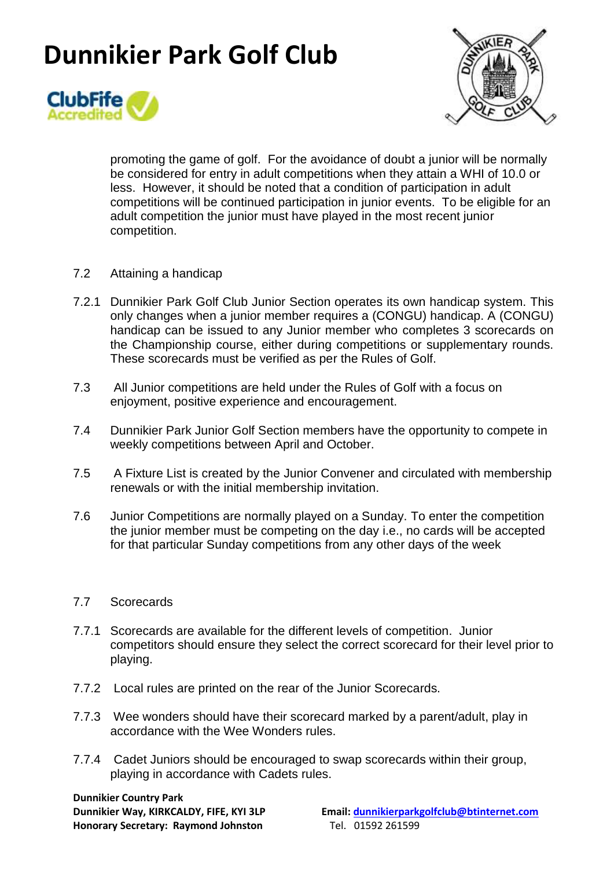



promoting the game of golf. For the avoidance of doubt a junior will be normally be considered for entry in adult competitions when they attain a WHI of 10.0 or less. However, it should be noted that a condition of participation in adult competitions will be continued participation in junior events. To be eligible for an adult competition the junior must have played in the most recent junior competition.

- 7.2 Attaining a handicap
- 7.2.1 Dunnikier Park Golf Club Junior Section operates its own handicap system. This only changes when a junior member requires a (CONGU) handicap. A (CONGU) handicap can be issued to any Junior member who completes 3 scorecards on the Championship course, either during competitions or supplementary rounds. These scorecards must be verified as per the Rules of Golf.
- 7.3 All Junior competitions are held under the Rules of Golf with a focus on enjoyment, positive experience and encouragement.
- 7.4 Dunnikier Park Junior Golf Section members have the opportunity to compete in weekly competitions between April and October.
- 7.5 A Fixture List is created by the Junior Convener and circulated with membership renewals or with the initial membership invitation.
- 7.6 Junior Competitions are normally played on a Sunday. To enter the competition the junior member must be competing on the day i.e., no cards will be accepted for that particular Sunday competitions from any other days of the week

#### 7.7 Scorecards

- 7.7.1 Scorecards are available for the different levels of competition. Junior competitors should ensure they select the correct scorecard for their level prior to playing.
- 7.7.2 Local rules are printed on the rear of the Junior Scorecards.
- 7.7.3 Wee wonders should have their scorecard marked by a parent/adult, play in accordance with the Wee Wonders rules.
- 7.7.4 Cadet Juniors should be encouraged to swap scorecards within their group, playing in accordance with Cadets rules.

**Dunnikier Country Park Honorary Secretary: Raymond Johnston** Tel. 01592 261599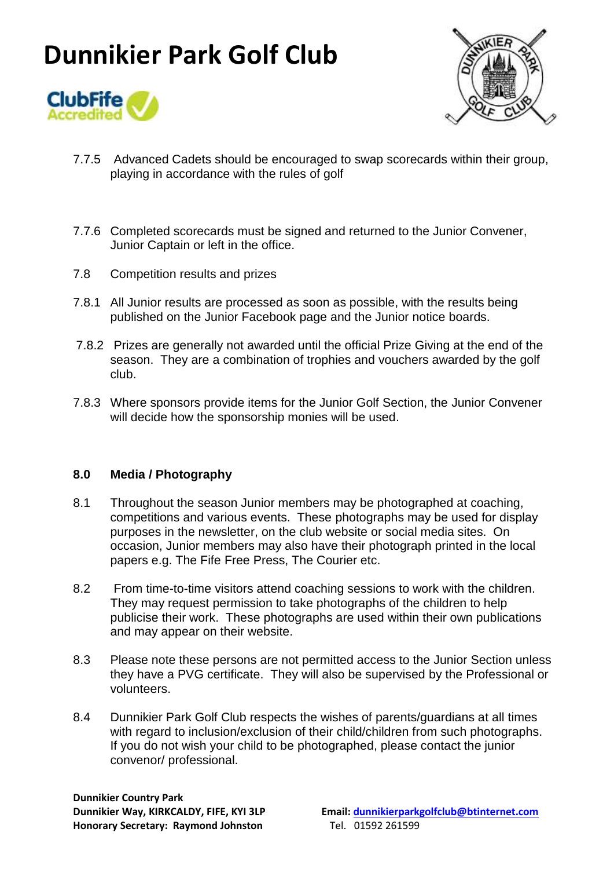



- 7.7.5 Advanced Cadets should be encouraged to swap scorecards within their group, playing in accordance with the rules of golf
- 7.7.6 Completed scorecards must be signed and returned to the Junior Convener, Junior Captain or left in the office.
- 7.8 Competition results and prizes
- 7.8.1 All Junior results are processed as soon as possible, with the results being published on the Junior Facebook page and the Junior notice boards.
- 7.8.2 Prizes are generally not awarded until the official Prize Giving at the end of the season. They are a combination of trophies and vouchers awarded by the golf club.
- 7.8.3 Where sponsors provide items for the Junior Golf Section, the Junior Convener will decide how the sponsorship monies will be used.

#### **8.0 Media / Photography**

- 8.1 Throughout the season Junior members may be photographed at coaching, competitions and various events. These photographs may be used for display purposes in the newsletter, on the club website or social media sites. On occasion, Junior members may also have their photograph printed in the local papers e.g. The Fife Free Press, The Courier etc.
- 8.2 From time-to-time visitors attend coaching sessions to work with the children. They may request permission to take photographs of the children to help publicise their work. These photographs are used within their own publications and may appear on their website.
- 8.3 Please note these persons are not permitted access to the Junior Section unless they have a PVG certificate. They will also be supervised by the Professional or volunteers.
- 8.4 Dunnikier Park Golf Club respects the wishes of parents/guardians at all times with regard to inclusion/exclusion of their child/children from such photographs. If you do not wish your child to be photographed, please contact the junior convenor/ professional.